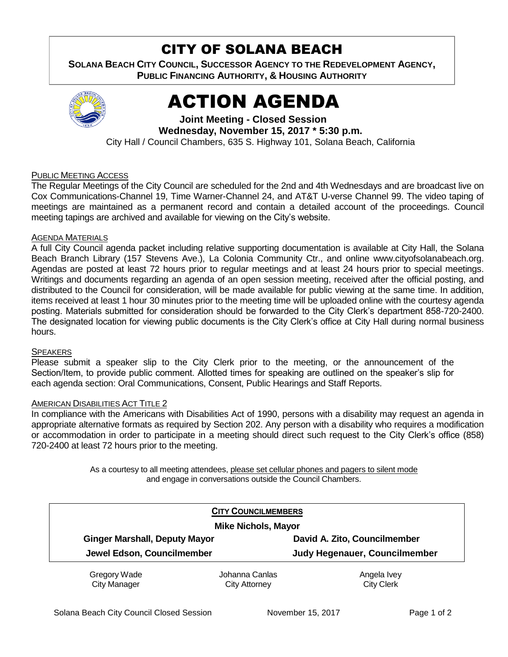## CITY OF SOLANA BEACH

**SOLANA BEACH CITY COUNCIL, SUCCESSOR AGENCY TO THE REDEVELOPMENT AGENCY, PUBLIC FINANCING AUTHORITY, & HOUSING AUTHORITY** 



# ACTION AGENDA

**Joint Meeting - Closed Session Wednesday, November 15, 2017 \* 5:30 p.m.**  City Hall / Council Chambers, 635 S. Highway 101, Solana Beach, California

## PUBLIC MEETING ACCESS

The Regular Meetings of the City Council are scheduled for the 2nd and 4th Wednesdays and are broadcast live on Cox Communications-Channel 19, Time Warner-Channel 24, and AT&T U-verse Channel 99. The video taping of meetings are maintained as a permanent record and contain a detailed account of the proceedings. Council meeting tapings are archived and available for viewing on the City's website.

## AGENDA MATERIALS

A full City Council agenda packet including relative supporting documentation is available at City Hall, the Solana Beach Branch Library (157 Stevens Ave.), La Colonia Community Ctr., and online www.cityofsolanabeach.org. Agendas are posted at least 72 hours prior to regular meetings and at least 24 hours prior to special meetings. Writings and documents regarding an agenda of an open session meeting, received after the official posting, and distributed to the Council for consideration, will be made available for public viewing at the same time. In addition, items received at least 1 hour 30 minutes prior to the meeting time will be uploaded online with the courtesy agenda posting. Materials submitted for consideration should be forwarded to the City Clerk's department 858-720-2400. The designated location for viewing public documents is the City Clerk's office at City Hall during normal business hours.

## **SPEAKERS**

Please submit a speaker slip to the City Clerk prior to the meeting, or the announcement of the Section/Item, to provide public comment. Allotted times for speaking are outlined on the speaker's slip for each agenda section: Oral Communications, Consent, Public Hearings and Staff Reports.

## AMERICAN DISABILITIES ACT TITLE 2

In compliance with the Americans with Disabilities Act of 1990, persons with a disability may request an agenda in appropriate alternative formats as required by Section 202. Any person with a disability who requires a modification or accommodation in order to participate in a meeting should direct such request to the City Clerk's office (858) 720-2400 at least 72 hours prior to the meeting.

> As a courtesy to all meeting attendees, please set cellular phones and pagers to silent mode and engage in conversations outside the Council Chambers.

|                            | <b>CITY COUNCILMEMBERS</b><br><b>Mike Nichols, Mayor</b><br>David A. Zito, Councilmember<br><b>Ginger Marshall, Deputy Mayor</b> |                               |  |
|----------------------------|----------------------------------------------------------------------------------------------------------------------------------|-------------------------------|--|
|                            |                                                                                                                                  |                               |  |
|                            |                                                                                                                                  |                               |  |
| Jewel Edson, Councilmember |                                                                                                                                  | Judy Hegenauer, Councilmember |  |
| Gregory Wade               | Johanna Canlas                                                                                                                   | Angela Ivey                   |  |
| <b>City Manager</b>        | City Attorney                                                                                                                    | <b>City Clerk</b>             |  |